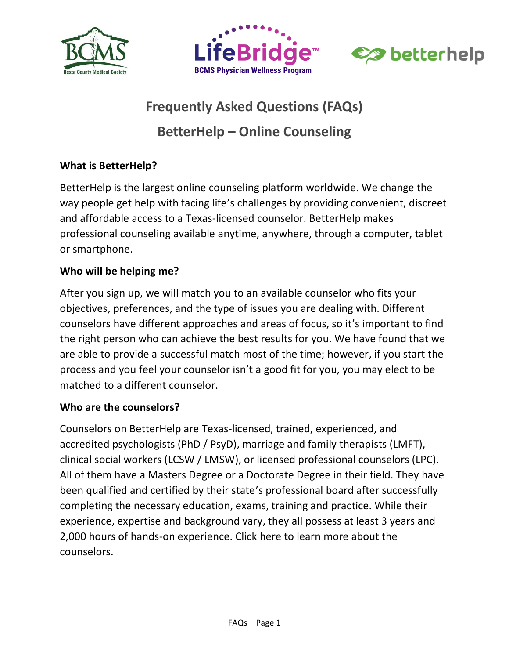





# **Frequently Asked Questions (FAQs) BetterHelp – Online Counseling**

# **What is BetterHelp?**

BetterHelp is the largest online counseling platform worldwide. We change the way people get help with facing life's challenges by providing convenient, discreet and affordable access to a Texas-licensed counselor. BetterHelp makes professional counseling available anytime, anywhere, through a computer, tablet or smartphone.

# **Who will be helping me?**

After you sign up, we will match you to an available counselor who fits your objectives, preferences, and the type of issues you are dealing with. Different counselors have different approaches and areas of focus, so it's important to find the right person who can achieve the best results for you. We have found that we are able to provide a successful match most of the time; however, if you start the process and you feel your counselor isn't a good fit for you, you may elect to be matched to a different counselor.

#### **Who are the counselors?**

Counselors on BetterHelp are Texas-licensed, trained, experienced, and accredited psychologists (PhD / PsyD), marriage and family therapists (LMFT), clinical social workers (LCSW / LMSW), or licensed professional counselors (LPC). All of them have a Masters Degree or a Doctorate Degree in their field. They have been qualified and certified by their state's professional board after successfully completing the necessary education, exams, training and practice. While their experience, expertise and background vary, they all possess at least 3 years and 2,000 hours of hands-on experience. Click [here](https://www.betterhelp.com/counselors) to learn more about the counselors.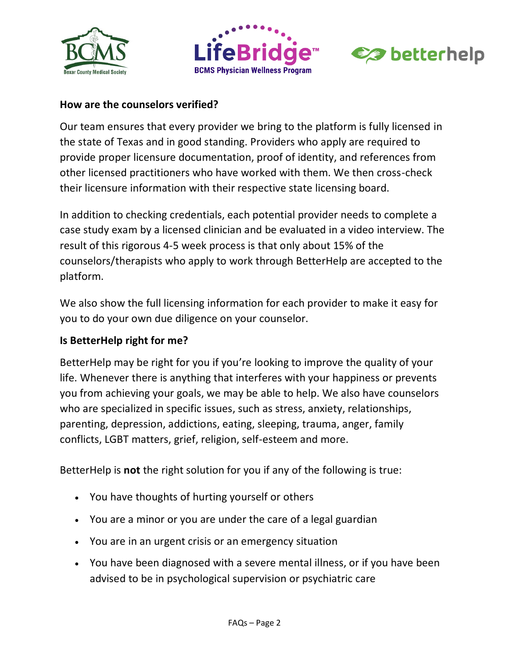





#### **How are the counselors verified?**

Our team ensures that every provider we bring to the platform is fully licensed in the state of Texas and in good standing. Providers who apply are required to provide proper licensure documentation, proof of identity, and references from other licensed practitioners who have worked with them. We then cross-check their licensure information with their respective state licensing board.

In addition to checking credentials, each potential provider needs to complete a case study exam by a licensed clinician and be evaluated in a video interview. The result of this rigorous 4-5 week process is that only about 15% of the counselors/therapists who apply to work through BetterHelp are accepted to the platform.

We also show the full licensing information for each provider to make it easy for you to do your own due diligence on your counselor.

#### **Is BetterHelp right for me?**

BetterHelp may be right for you if you're looking to improve the quality of your life. Whenever there is anything that interferes with your happiness or prevents you from achieving your goals, we may be able to help. We also have counselors who are specialized in specific issues, such as stress, anxiety, relationships, parenting, depression, addictions, eating, sleeping, trauma, anger, family conflicts, LGBT matters, grief, religion, self-esteem and more.

BetterHelp is **not** the right solution for you if any of the following is true:

- You have thoughts of hurting yourself or others
- You are a minor or you are under the care of a legal guardian
- You are in an urgent crisis or an emergency situation
- You have been diagnosed with a severe mental illness, or if you have been advised to be in psychological supervision or psychiatric care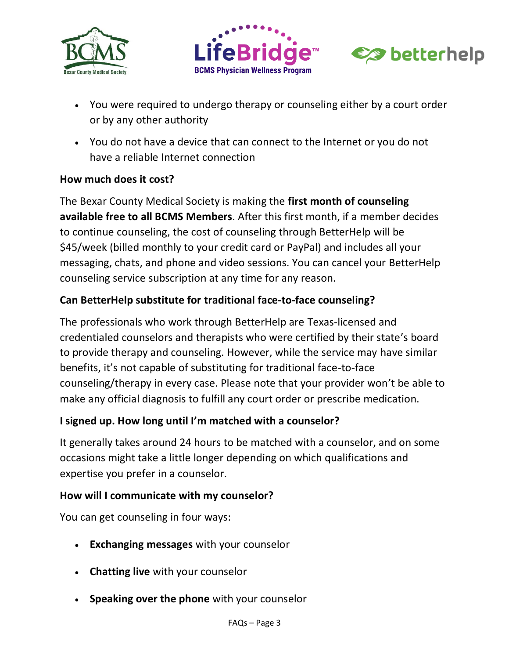





- You were required to undergo therapy or counseling either by a court order or by any other authority
- You do not have a device that can connect to the Internet or you do not have a reliable Internet connection

## **How much does it cost?**

The Bexar County Medical Society is making the **first month of counseling available free to all BCMS Members**. After this first month, if a member decides to continue counseling, the cost of counseling through BetterHelp will be \$45/week (billed monthly to your credit card or PayPal) and includes all your messaging, chats, and phone and video sessions. You can cancel your BetterHelp counseling service subscription at any time for any reason.

# **Can BetterHelp substitute for traditional face-to-face counseling?**

The professionals who work through BetterHelp are Texas-licensed and credentialed counselors and therapists who were certified by their state's board to provide therapy and counseling. However, while the service may have similar benefits, it's not capable of substituting for traditional face-to-face counseling/therapy in every case. Please note that your provider won't be able to make any official diagnosis to fulfill any court order or prescribe medication.

#### **I signed up. How long until I'm matched with a counselor?**

It generally takes around 24 hours to be matched with a counselor, and on some occasions might take a little longer depending on which qualifications and expertise you prefer in a counselor.

#### **How will I communicate with my counselor?**

You can get counseling in four ways:

- **Exchanging messages** with your counselor
- **Chatting live** with your counselor
- **Speaking over the phone** with your counselor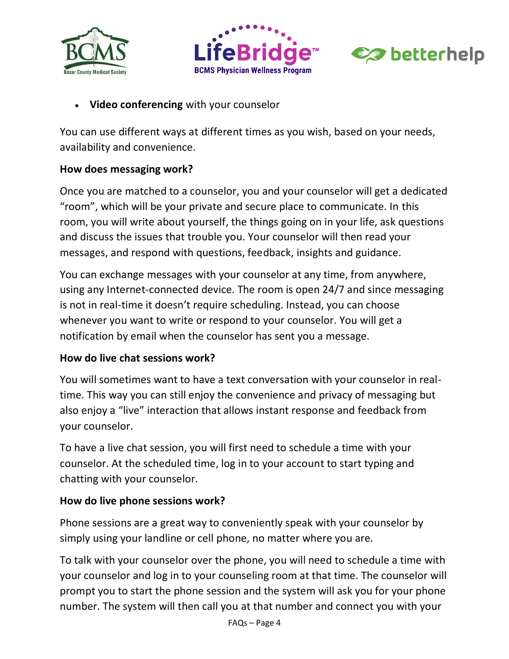





**Video conferencing** with your counselor

You can use different ways at different times as you wish, based on your needs, availability and convenience.

#### **How does messaging work?**

Once you are matched to a counselor, you and your counselor will get a dedicated "room", which will be your private and secure place to communicate. In this room, you will write about yourself, the things going on in your life, ask questions and discuss the issues that trouble you. Your counselor will then read your messages, and respond with questions, feedback, insights and guidance.

You can exchange messages with your counselor at any time, from anywhere, using any Internet-connected device. The room is open 24/7 and since messaging is not in real-time it doesn't require scheduling. Instead, you can choose whenever you want to write or respond to your counselor. You will get a notification by email when the counselor has sent you a message.

#### **How do live chat sessions work?**

You will sometimes want to have a text conversation with your counselor in realtime. This way you can still enjoy the convenience and privacy of messaging but also enjoy a "live" interaction that allows instant response and feedback from your counselor.

To have a live chat session, you will first need to schedule a time with your counselor. At the scheduled time, log in to your account to start typing and chatting with your counselor.

#### **How do live phone sessions work?**

Phone sessions are a great way to conveniently speak with your counselor by simply using your landline or cell phone, no matter where you are.

To talk with your counselor over the phone, you will need to schedule a time with your counselor and log in to your counseling room at that time. The counselor will prompt you to start the phone session and the system will ask you for your phone number. The system will then call you at that number and connect you with your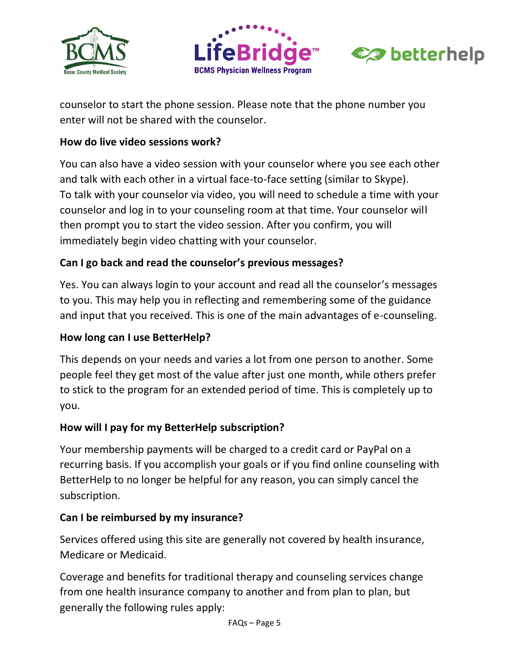





counselor to start the phone session. Please note that the phone number you enter will not be shared with the counselor.

#### **How do live video sessions work?**

You can also have a video session with your counselor where you see each other and talk with each other in a virtual face-to-face setting (similar to Skype). To talk with your counselor via video, you will need to schedule a time with your counselor and log in to your counseling room at that time. Your counselor will then prompt you to start the video session. After you confirm, you will immediately begin video chatting with your counselor.

# **Can I go back and read the counselor's previous messages?**

Yes. You can always login to your account and read all the counselor's messages to you. This may help you in reflecting and remembering some of the guidance and input that you received. This is one of the main advantages of e-counseling.

#### **How long can I use BetterHelp?**

This depends on your needs and varies a lot from one person to another. Some people feel they get most of the value after just one month, while others prefer to stick to the program for an extended period of time. This is completely up to you.

#### **How will I pay for my BetterHelp subscription?**

Your membership payments will be charged to a credit card or PayPal on a recurring basis. If you accomplish your goals or if you find online counseling with BetterHelp to no longer be helpful for any reason, you can simply cancel the subscription.

#### **Can I be reimbursed by my insurance?**

Services offered using this site are generally not covered by health insurance, Medicare or Medicaid.

Coverage and benefits for traditional therapy and counseling services change from one health insurance company to another and from plan to plan, but generally the following rules apply: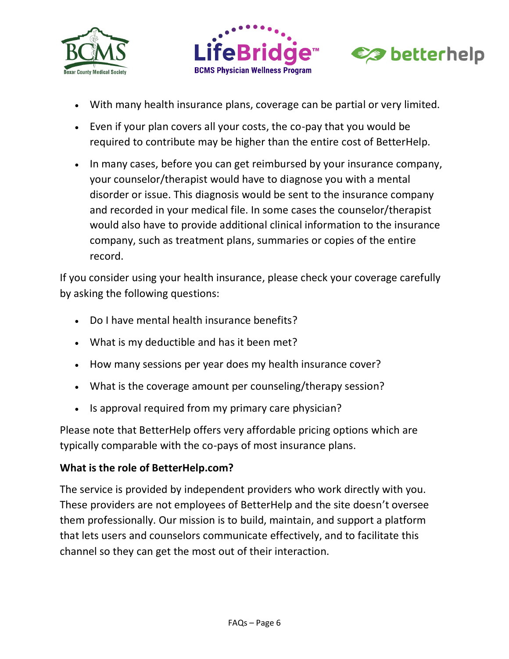





- With many health insurance plans, coverage can be partial or very limited.
- Even if your plan covers all your costs, the co-pay that you would be required to contribute may be higher than the entire cost of BetterHelp.
- In many cases, before you can get reimbursed by your insurance company, your counselor/therapist would have to diagnose you with a mental disorder or issue. This diagnosis would be sent to the insurance company and recorded in your medical file. In some cases the counselor/therapist would also have to provide additional clinical information to the insurance company, such as treatment plans, summaries or copies of the entire record.

If you consider using your health insurance, please check your coverage carefully by asking the following questions:

- Do I have mental health insurance benefits?
- What is my deductible and has it been met?
- How many sessions per year does my health insurance cover?
- What is the coverage amount per counseling/therapy session?
- Is approval required from my primary care physician?

Please note that BetterHelp offers very affordable pricing options which are typically comparable with the co-pays of most insurance plans.

#### **What is the role of BetterHelp.com?**

The service is provided by independent providers who work directly with you. These providers are not employees of BetterHelp and the site doesn't oversee them professionally. Our mission is to build, maintain, and support a platform that lets users and counselors communicate effectively, and to facilitate this channel so they can get the most out of their interaction.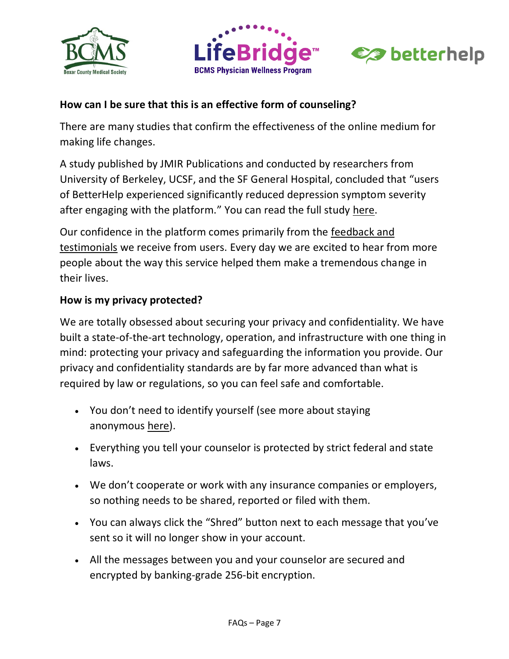





## **How can I be sure that this is an effective form of counseling?**

There are many studies that confirm the effectiveness of the online medium for making life changes.

A study published by JMIR Publications and conducted by researchers from University of Berkeley, UCSF, and the SF General Hospital, concluded that "users of BetterHelp experienced significantly reduced depression symptom severity after engaging with the platform." You can read the full study [here.](https://mhealth.jmir.org/2019/1/e10948/)

Our confidence in the platform comes primarily from the [feedback and](https://www.betterhelp.com/reviews)  [testimonials](https://www.betterhelp.com/reviews) we receive from users. Every day we are excited to hear from more people about the way this service helped them make a tremendous change in their lives.

#### **How is my privacy protected?**

We are totally obsessed about securing your privacy and confidentiality. We have built a state-of-the-art technology, operation, and infrastructure with one thing in mind: protecting your privacy and safeguarding the information you provide. Our privacy and confidentiality standards are by far more advanced than what is required by law or regulations, so you can feel safe and comfortable.

- You don't need to identify yourself (see more about staying anonymous [here\)](https://www.betterhelp.com/privacy).
- Everything you tell your counselor is protected by strict federal and state laws.
- We don't cooperate or work with any insurance companies or employers, so nothing needs to be shared, reported or filed with them.
- You can always click the "Shred" button next to each message that you've sent so it will no longer show in your account.
- All the messages between you and your counselor are secured and encrypted by banking-grade 256-bit encryption.